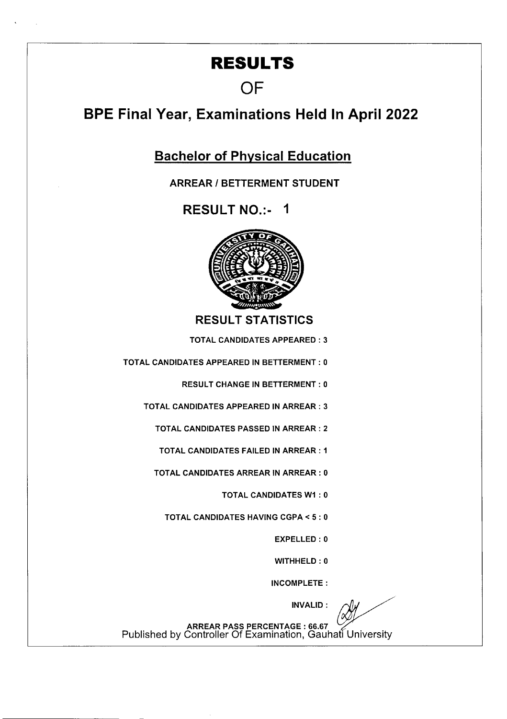## **RESULTS**

## **OF**

## **BPE Final Year, Examinations Held In April 2022**

**Bachelor of Physical Education** 

**ARREAR I BETTERMENT STUDENT** 

**RESULT NO.:- I** 



**RESULT STATISTICS** 

TOTAL CANDIDATES APPEARED: 3

TOTAL CANDIDATES APPEARED IN BETTERMENT: 0

RESULT CHANGE IN BETTERMENT: 0

TOTAL CANDIDATES APPEARED IN ARREAR: 3

TOTAL CANDIDATES PASSED IN ARREAR: 2

TOTAL CANDIDATES FAILED IN ARREAR: I

TOTAL CANDIDATES ARREAR IN ARREAR: 0

TOTAL CANDIDATES WI : 0

TOTAL CANDIDATES HAVING CGPA < 5: 0

EXPELLED: 0

WITHHELD : 0

INCOMPLETE:

INVALID:

ARREAR PASS PERCENTAGE : 66.67<br>Published by Controller Of Examination, Gauhati University